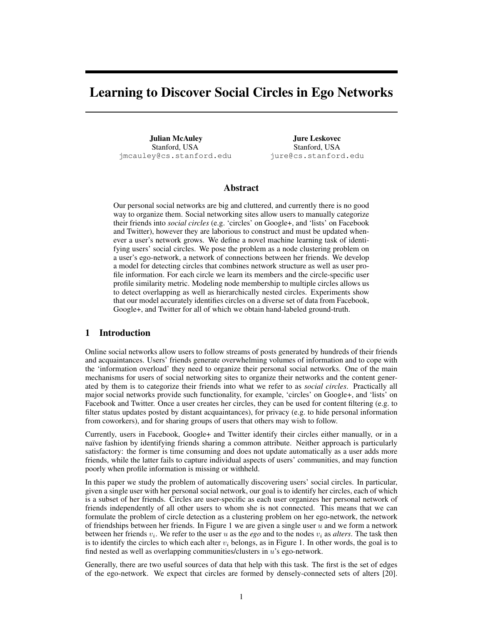# Learning to Discover Social Circles in Ego Networks

Julian McAuley Stanford, USA jmcauley@cs.stanford.edu

Jure Leskovec Stanford, USA jure@cs.stanford.edu

### Abstract

Our personal social networks are big and cluttered, and currently there is no good way to organize them. Social networking sites allow users to manually categorize their friends into *social circles* (e.g. 'circles' on Google+, and 'lists' on Facebook and Twitter), however they are laborious to construct and must be updated whenever a user's network grows. We define a novel machine learning task of identifying users' social circles. We pose the problem as a node clustering problem on a user's ego-network, a network of connections between her friends. We develop a model for detecting circles that combines network structure as well as user profile information. For each circle we learn its members and the circle-specific user profile similarity metric. Modeling node membership to multiple circles allows us to detect overlapping as well as hierarchically nested circles. Experiments show that our model accurately identifies circles on a diverse set of data from Facebook, Google+, and Twitter for all of which we obtain hand-labeled ground-truth.

#### 1 Introduction

Online social networks allow users to follow streams of posts generated by hundreds of their friends and acquaintances. Users' friends generate overwhelming volumes of information and to cope with the 'information overload' they need to organize their personal social networks. One of the main mechanisms for users of social networking sites to organize their networks and the content generated by them is to categorize their friends into what we refer to as *social circles*. Practically all major social networks provide such functionality, for example, 'circles' on Google+, and 'lists' on Facebook and Twitter. Once a user creates her circles, they can be used for content filtering (e.g. to filter status updates posted by distant acquaintances), for privacy (e.g. to hide personal information from coworkers), and for sharing groups of users that others may wish to follow.

Currently, users in Facebook, Google+ and Twitter identify their circles either manually, or in a naïve fashion by identifying friends sharing a common attribute. Neither approach is particularly satisfactory: the former is time consuming and does not update automatically as a user adds more friends, while the latter fails to capture individual aspects of users' communities, and may function poorly when profile information is missing or withheld.

In this paper we study the problem of automatically discovering users' social circles. In particular, given a single user with her personal social network, our goal is to identify her circles, each of which is a subset of her friends. Circles are user-specific as each user organizes her personal network of friends independently of all other users to whom she is not connected. This means that we can formulate the problem of circle detection as a clustering problem on her ego-network, the network of friendships between her friends. In Figure 1 we are given a single user  $u$  and we form a network between her friends  $v_i$ . We refer to the user u as the  $ego$  and to the nodes  $v_i$  as *alters*. The task then is to identify the circles to which each alter  $v_i$  belongs, as in Figure 1. In other words, the goal is to find nested as well as overlapping communities/clusters in  $u$ 's ego-network.

Generally, there are two useful sources of data that help with this task. The first is the set of edges of the ego-network. We expect that circles are formed by densely-connected sets of alters [20].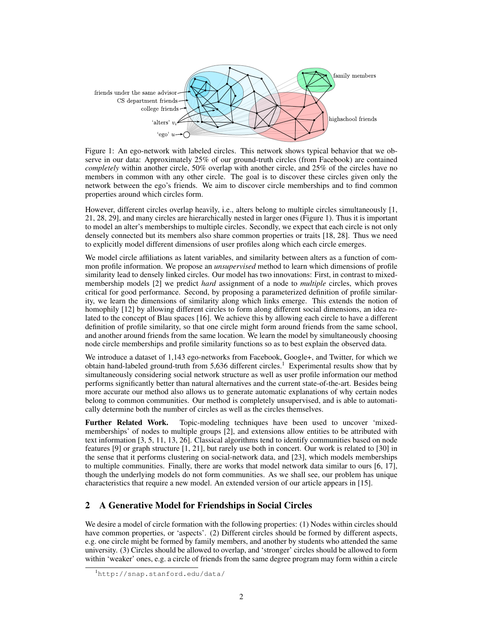

Figure 1: An ego-network with labeled circles. This network shows typical behavior that we observe in our data: Approximately 25% of our ground-truth circles (from Facebook) are contained *completely* within another circle, 50% overlap with another circle, and 25% of the circles have no members in common with any other circle. The goal is to discover these circles given only the network between the ego's friends. We aim to discover circle memberships and to find common properties around which circles form.

However, different circles overlap heavily, i.e., alters belong to multiple circles simultaneously [1, 21, 28, 29], and many circles are hierarchically nested in larger ones (Figure 1). Thus it is important to model an alter's memberships to multiple circles. Secondly, we expect that each circle is not only densely connected but its members also share common properties or traits [18, 28]. Thus we need to explicitly model different dimensions of user profiles along which each circle emerges.

We model circle affiliations as latent variables, and similarity between alters as a function of common profile information. We propose an *unsupervised* method to learn which dimensions of profile similarity lead to densely linked circles. Our model has two innovations: First, in contrast to mixedmembership models [2] we predict *hard* assignment of a node to *multiple* circles, which proves critical for good performance. Second, by proposing a parameterized definition of profile similarity, we learn the dimensions of similarity along which links emerge. This extends the notion of homophily [12] by allowing different circles to form along different social dimensions, an idea related to the concept of Blau spaces [16]. We achieve this by allowing each circle to have a different definition of profile similarity, so that one circle might form around friends from the same school, and another around friends from the same location. We learn the model by simultaneously choosing node circle memberships and profile similarity functions so as to best explain the observed data.

We introduce a dataset of 1,143 ego-networks from Facebook, Google+, and Twitter, for which we obtain hand-labeled ground-truth from 5,636 different circles.<sup>1</sup> Experimental results show that by simultaneously considering social network structure as well as user profile information our method performs significantly better than natural alternatives and the current state-of-the-art. Besides being more accurate our method also allows us to generate automatic explanations of why certain nodes belong to common communities. Our method is completely unsupervised, and is able to automatically determine both the number of circles as well as the circles themselves.

Further Related Work. Topic-modeling techniques have been used to uncover 'mixedmemberships' of nodes to multiple groups [2], and extensions allow entities to be attributed with text information [3, 5, 11, 13, 26]. Classical algorithms tend to identify communities based on node features [9] or graph structure [1, 21], but rarely use both in concert. Our work is related to [30] in the sense that it performs clustering on social-network data, and [23], which models memberships to multiple communities. Finally, there are works that model network data similar to ours [6, 17], though the underlying models do not form communities. As we shall see, our problem has unique characteristics that require a new model. An extended version of our article appears in [15].

## 2 A Generative Model for Friendships in Social Circles

We desire a model of circle formation with the following properties: (1) Nodes within circles should have common properties, or 'aspects'. (2) Different circles should be formed by different aspects, e.g. one circle might be formed by family members, and another by students who attended the same university. (3) Circles should be allowed to overlap, and 'stronger' circles should be allowed to form within 'weaker' ones, e.g. a circle of friends from the same degree program may form within a circle

<sup>1</sup><http://snap.stanford.edu/data/>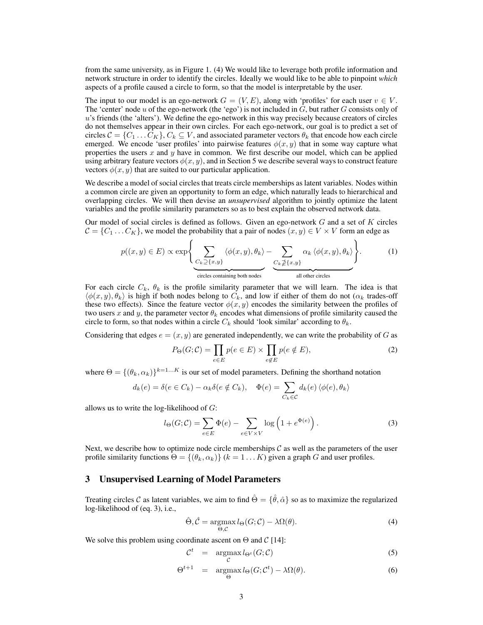from the same university, as in Figure 1. (4) We would like to leverage both profile information and network structure in order to identify the circles. Ideally we would like to be able to pinpoint *which* aspects of a profile caused a circle to form, so that the model is interpretable by the user.

The input to our model is an ego-network  $G = (V, E)$ , along with 'profiles' for each user  $v \in V$ . The 'center' node u of the ego-network (the 'ego') is not included in  $G$ , but rather  $G$  consists only of u's friends (the 'alters'). We define the ego-network in this way precisely because creators of circles do not themselves appear in their own circles. For each ego-network, our goal is to predict a set of circles  $C = \{C_1 \dots C_K\}, C_k \subseteq V$ , and associated parameter vectors  $\theta_k$  that encode how each circle emerged. We encode 'user profiles' into pairwise features  $\phi(x, y)$  that in some way capture what properties the users  $x$  and  $y$  have in common. We first describe our model, which can be applied using arbitrary feature vectors  $\phi(x, y)$ , and in Section 5 we describe several ways to construct feature vectors  $\phi(x, y)$  that are suited to our particular application.

We describe a model of social circles that treats circle memberships as latent variables. Nodes within a common circle are given an opportunity to form an edge, which naturally leads to hierarchical and overlapping circles. We will then devise an *unsupervised* algorithm to jointly optimize the latent variables and the profile similarity parameters so as to best explain the observed network data.

Our model of social circles is defined as follows. Given an ego-network  $G$  and a set of  $K$  circles  $C = \{C_1 \dots C_K\}$ , we model the probability that a pair of nodes  $(x, y) \in V \times V$  form an edge as

$$
p((x, y) \in E) \propto \exp\left\{\underbrace{\sum_{C_k \supseteq \{x, y\}} \langle \phi(x, y), \theta_k \rangle}_{\text{circles containing both nodes}} - \underbrace{\sum_{C_k \supseteq \{x, y\}} \alpha_k \langle \phi(x, y), \theta_k \rangle}_{\text{all other circles}}\right\}.
$$
 (1)

For each circle  $C_k$ ,  $\theta_k$  is the profile similarity parameter that we will learn. The idea is that  $\langle \phi(x, y), \theta_k \rangle$  is high if both nodes belong to  $C_k$ , and low if either of them do not  $(\alpha_k$  trades-off these two effects). Since the feature vector  $\phi(x, y)$  encodes the similarity between the profiles of two users x and y, the parameter vector  $\theta_k$  encodes what dimensions of profile similarity caused the circle to form, so that nodes within a circle  $C_k$  should 'look similar' according to  $\theta_k$ .

Considering that edges  $e = (x, y)$  are generated independently, we can write the probability of G as

$$
P_{\Theta}(G; \mathcal{C}) = \prod_{e \in E} p(e \in E) \times \prod_{e \notin E} p(e \notin E), \tag{2}
$$

where  $\Theta = \{(\theta_k, \alpha_k)\}^{k=1...K}$  is our set of model parameters. Defining the shorthand notation

$$
d_k(e) = \delta(e \in C_k) - \alpha_k \delta(e \notin C_k), \quad \Phi(e) = \sum_{C_k \in \mathcal{C}} d_k(e) \langle \phi(e), \theta_k \rangle
$$

allows us to write the log-likelihood of  $G$ :

$$
l_{\Theta}(G; \mathcal{C}) = \sum_{e \in E} \Phi(e) - \sum_{e \in V \times V} \log \left( 1 + e^{\Phi(e)} \right). \tag{3}
$$

Next, we describe how to optimize node circle memberships  $\mathcal C$  as well as the parameters of the user profile similarity functions  $\Theta = \{(\theta_k, \alpha_k)\}$  ( $k = 1...K$ ) given a graph G and user profiles.

#### 3 Unsupervised Learning of Model Parameters

Treating circles C as latent variables, we aim to find  $\hat{\Theta} = \{\hat{\theta}, \hat{\alpha}\}\$  so as to maximize the regularized log-likelihood of (eq. 3), i.e.,

$$
\hat{\Theta}, \hat{\mathcal{C}} = \underset{\Theta, \mathcal{C}}{\operatorname{argmax}} l_{\Theta}(G; \mathcal{C}) - \lambda \Omega(\theta). \tag{4}
$$

We solve this problem using coordinate ascent on  $\Theta$  and  $\mathcal{C}$  [14]:

$$
\mathcal{C}^t = \underset{\mathcal{C}}{\operatorname{argmax}} l_{\Theta^t}(G; \mathcal{C}) \tag{5}
$$

$$
\Theta^{t+1} = \underset{\Theta}{\operatorname{argmax}} l_{\Theta}(G; \mathcal{C}^t) - \lambda \Omega(\theta). \tag{6}
$$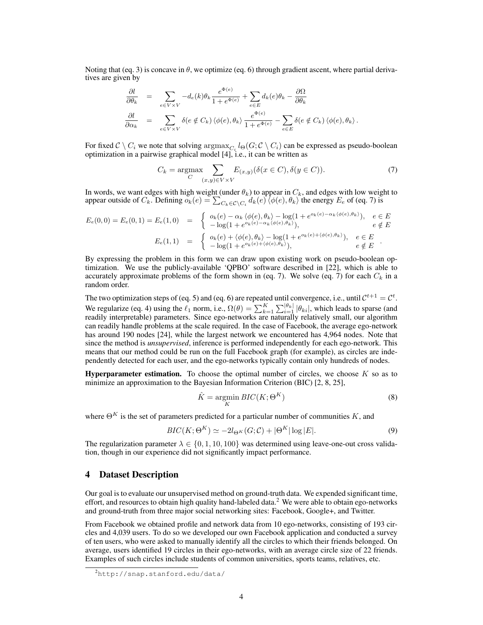Noting that (eq. 3) is concave in  $\theta$ , we optimize (eq. 6) through gradient ascent, where partial derivatives are given by

$$
\frac{\partial l}{\partial \theta_k} = \sum_{e \in V \times V} -d_e(k)\theta_k \frac{e^{\Phi(e)}}{1 + e^{\Phi(e)}} + \sum_{e \in E} d_k(e)\theta_k - \frac{\partial \Omega}{\partial \theta_k}
$$
  

$$
\frac{\partial l}{\partial \alpha_k} = \sum_{e \in V \times V} \delta(e \notin C_k) \langle \phi(e), \theta_k \rangle \frac{e^{\Phi(e)}}{1 + e^{\Phi(e)}} - \sum_{e \in E} \delta(e \notin C_k) \langle \phi(e), \theta_k \rangle.
$$

For fixed  $\mathcal{C} \setminus C_i$  we note that solving  $\argmax_{C_i} l_{\Theta}(G; \mathcal{C} \setminus C_i)$  can be expressed as pseudo-boolean optimization in a pairwise graphical model [4], i.e., it can be written as

$$
C_k = \underset{C}{\text{argmax}} \sum_{(x,y)\in V \times V} E_{(x,y)}(\delta(x \in C), \delta(y \in C)). \tag{7}
$$

In words, we want edges with high weight (under  $\theta_k$ ) to appear in  $C_k$ , and edges with low weight to appear outside of  $C_k$ . Defining  $o_k(e) = \sum_{C_k \in \mathcal{C} \setminus C_i} d_k(e) \setminus \langle \phi(e), \theta_k \rangle$  the energy  $E_e$  of (eq. 7) is

$$
E_e(0,0) = E_e(0,1) = E_e(1,0) = \begin{cases} o_k(e) - \alpha_k \langle \phi(e), \theta_k \rangle - \log(1 + e^{o_k(e) - \alpha_k \langle \phi(e), \theta_k \rangle}), & e \in E \\ -\log(1 + e^{o_k(e) - \alpha_k \langle \phi(e), \theta_k \rangle}), & e \notin E \end{cases}
$$

$$
E_e(1,1) = \begin{cases} o_k(e) + \langle \phi(e), \theta_k \rangle - \log(1 + e^{o_k(e) + \langle \phi(e), \theta_k \rangle}), & e \in E \\ -\log(1 + e^{o_k(e) + \langle \phi(e), \theta_k \rangle}), & e \notin E \end{cases}
$$

By expressing the problem in this form we can draw upon existing work on pseudo-boolean optimization. We use the publicly-available 'QPBO' software described in [22], which is able to accurately approximate problems of the form shown in (eq. 7). We solve (eq. 7) for each  $C_k$  in a random order.

The two optimization steps of (eq. 5) and (eq. 6) are repeated until convergence, i.e., until  $\mathcal{C}^{t+1} = \mathcal{C}^t$ . We regularize (eq. 4) using the  $\ell_1$  norm, i.e.,  $\Omega(\theta) = \sum_{k=1}^K \sum_{i=1}^{|\theta_k|} |\theta_{ki}|$ , which leads to sparse (and readily interpretable) parameters. Since ego-networks are naturally relatively small, our algorithm can readily handle problems at the scale required. In the case of Facebook, the average ego-network has around 190 nodes [24], while the largest network we encountered has 4,964 nodes. Note that since the method is *unsupervised*, inference is performed independently for each ego-network. This means that our method could be run on the full Facebook graph (for example), as circles are independently detected for each user, and the ego-networks typically contain only hundreds of nodes.

**Hyperparameter estimation.** To choose the optimal number of circles, we choose  $K$  so as to minimize an approximation to the Bayesian Information Criterion (BIC) [2, 8, 25],

$$
\hat{K} = \underset{K}{\text{argmin}} \, BIC(K; \Theta^K) \tag{8}
$$

where  $\Theta^{K}$  is the set of parameters predicted for a particular number of communities K, and

$$
BIC(K; \Theta^K) \simeq -2l_{\Theta^K}(G; \mathcal{C}) + |\Theta^K| \log |E|.
$$
 (9)

The regularization parameter  $\lambda \in \{0, 1, 10, 100\}$  was determined using leave-one-out cross validation, though in our experience did not significantly impact performance.

#### 4 Dataset Description

Our goal is to evaluate our unsupervised method on ground-truth data. We expended significant time, effort, and resources to obtain high quality hand-labeled data.<sup>2</sup> We were able to obtain ego-networks and ground-truth from three major social networking sites: Facebook, Google+, and Twitter.

From Facebook we obtained profile and network data from 10 ego-networks, consisting of 193 circles and 4,039 users. To do so we developed our own Facebook application and conducted a survey of ten users, who were asked to manually identify all the circles to which their friends belonged. On average, users identified 19 circles in their ego-networks, with an average circle size of 22 friends. Examples of such circles include students of common universities, sports teams, relatives, etc.

<sup>2</sup><http://snap.stanford.edu/data/>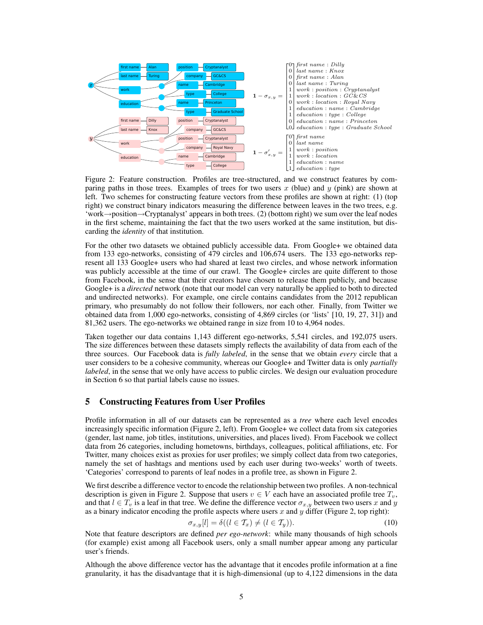

Figure 2: Feature construction. Profiles are tree-structured, and we construct features by comparing paths in those trees. Examples of trees for two users  $x$  (blue) and  $y$  (pink) are shown at left. Two schemes for constructing feature vectors from these profiles are shown at right: (1) (top right) we construct binary indicators measuring the difference between leaves in the two trees, e.g. 'work→position→Cryptanalyst' appears in both trees. (2) (bottom right) we sum over the leaf nodes in the first scheme, maintaining the fact that the two users worked at the same institution, but discarding the *identity* of that institution.

For the other two datasets we obtained publicly accessible data. From Google+ we obtained data from 133 ego-networks, consisting of 479 circles and 106,674 users. The 133 ego-networks represent all 133 Google+ users who had shared at least two circles, and whose network information was publicly accessible at the time of our crawl. The Google+ circles are quite different to those from Facebook, in the sense that their creators have chosen to release them publicly, and because Google+ is a *directed* network (note that our model can very naturally be applied to both to directed and undirected networks). For example, one circle contains candidates from the 2012 republican primary, who presumably do not follow their followers, nor each other. Finally, from Twitter we obtained data from 1,000 ego-networks, consisting of 4,869 circles (or 'lists' [10, 19, 27, 31]) and 81,362 users. The ego-networks we obtained range in size from 10 to 4,964 nodes.

Taken together our data contains 1,143 different ego-networks, 5,541 circles, and 192,075 users. The size differences between these datasets simply reflects the availability of data from each of the three sources. Our Facebook data is *fully labeled*, in the sense that we obtain *every* circle that a user considers to be a cohesive community, whereas our Google+ and Twitter data is only *partially labeled*, in the sense that we only have access to public circles. We design our evaluation procedure in Section 6 so that partial labels cause no issues.

#### 5 Constructing Features from User Profiles

Profile information in all of our datasets can be represented as a *tree* where each level encodes increasingly specific information (Figure 2, left). From Google+ we collect data from six categories (gender, last name, job titles, institutions, universities, and places lived). From Facebook we collect data from 26 categories, including hometowns, birthdays, colleagues, political affiliations, etc. For Twitter, many choices exist as proxies for user profiles; we simply collect data from two categories, namely the set of hashtags and mentions used by each user during two-weeks' worth of tweets. 'Categories' correspond to parents of leaf nodes in a profile tree, as shown in Figure 2.

We first describe a difference vector to encode the relationship between two profiles. A non-technical description is given in Figure 2. Suppose that users  $v \in V$  each have an associated profile tree  $T_v$ , and that  $l \in T_v$  is a leaf in that tree. We define the difference vector  $\sigma_{x,y}$  between two users x and y as a binary indicator encoding the profile aspects where users  $x$  and  $y$  differ (Figure 2, top right):

$$
\sigma_{x,y}[l] = \delta((l \in \mathcal{T}_x) \neq (l \in \mathcal{T}_y)).\tag{10}
$$

Note that feature descriptors are defined *per ego-network*: while many thousands of high schools (for example) exist among all Facebook users, only a small number appear among any particular user's friends.

Although the above difference vector has the advantage that it encodes profile information at a fine granularity, it has the disadvantage that it is high-dimensional (up to 4,122 dimensions in the data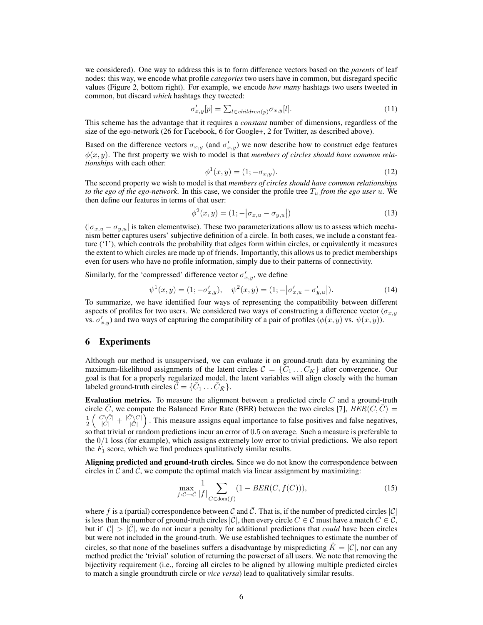we considered). One way to address this is to form difference vectors based on the *parents* of leaf nodes: this way, we encode what profile *categories* two users have in common, but disregard specific values (Figure 2, bottom right). For example, we encode *how many* hashtags two users tweeted in common, but discard *which* hashtags they tweeted:

$$
\sigma'_{x,y}[p] = \sum_{l \in children(p)} \sigma_{x,y}[l]. \tag{11}
$$

This scheme has the advantage that it requires a *constant* number of dimensions, regardless of the size of the ego-network (26 for Facebook, 6 for Google+, 2 for Twitter, as described above).

Based on the difference vectors  $\sigma_{x,y}$  (and  $\sigma'_{x,y}$ ) we now describe how to construct edge features  $\phi(x, y)$ . The first property we wish to model is that *members of circles should have common relationships* with each other:

$$
\phi^1(x, y) = (1; -\sigma_{x, y}).\tag{12}
$$

The second property we wish to model is that *members of circles should have common relationships to the ego of the ego-network*. In this case, we consider the profile tree  $T_u$  *from the ego user* u. We then define our features in terms of that user:

$$
\phi^{2}(x, y) = (1; -|\sigma_{x, u} - \sigma_{y, u}|)
$$
\n(13)

 $(|\sigma_{x,u} - \sigma_{y,u}|)$  is taken elementwise). These two parameterizations allow us to assess which mechanism better captures users' subjective definition of a circle. In both cases, we include a constant feature ('1'), which controls the probability that edges form within circles, or equivalently it measures the extent to which circles are made up of friends. Importantly, this allows us to predict memberships even for users who have no profile information, simply due to their patterns of connectivity.

Similarly, for the 'compressed' difference vector  $\sigma'_{x,y}$ , we define

$$
\psi^1(x, y) = (1; -\sigma'_{x, y}), \quad \psi^2(x, y) = (1; -|\sigma'_{x, u} - \sigma'_{y, u}|). \tag{14}
$$

To summarize, we have identified four ways of representing the compatibility between different aspects of profiles for two users. We considered two ways of constructing a difference vector ( $\sigma_{x,y}$ ) vs.  $\sigma'_{x,y}$ ) and two ways of capturing the compatibility of a pair of profiles  $(\phi(x, y)$  vs.  $\psi(x, y))$ .

#### 6 Experiments

Although our method is unsupervised, we can evaluate it on ground-truth data by examining the maximum-likelihood assignments of the latent circles  $C = \{C_1 ... C_K\}$  after convergence. Our goal is that for a properly regularized model, the latent variables will align closely with the human labeled ground-truth circles  $\vec{C} = \{\vec{C}_1 \dots \vec{C}_{\vec{K}}\}.$ 

**Evaluation metrics.** To measure the alignment between a predicted circle  $C$  and a ground-truth circle  $\bar{C}$ , we compute the Balanced Error Rate (BER) between the two circles [7],  $BER(C, \bar{C})$  =  $\frac{1}{2}\left(\frac{|C\backslash \bar{C}|}{|C|} + \frac{|\bar{C}\backslash C|}{|\bar{C}|}\right)$  $\sqrt{\frac{\bar{C}}{|C|}}$ . This measure assigns equal importance to false positives and false negatives, so that trivial or random predictions incur an error of 0.5 on average. Such a measure is preferable to the 0/1 loss (for example), which assigns extremely low error to trivial predictions. We also report the  $F_1$  score, which we find produces qualitatively similar results.

Aligning predicted and ground-truth circles. Since we do not know the correspondence between circles in  $\mathcal C$  and  $\mathcal C$ , we compute the optimal match via linear assignment by maximizing:

$$
\max_{f:C \to \bar{C}} \frac{1}{|f|} \sum_{C \in \text{dom}(f)} (1 - BER(C, f(C))), \tag{15}
$$

where f is a (partial) correspondence between C and  $\overline{C}$ . That is, if the number of predicted circles  $|C|$ is less than the number of ground-truth circles  $|\bar{C}|$ , then every circle  $C \in \mathcal{C}$  must have a match  $\bar{C} \in \bar{\mathcal{C}}$ , but if  $|\mathcal{C}| > |\mathcal{C}|$ , we do not incur a penalty for additional predictions that *could* have been circles but were not included in the ground-truth. We use established techniques to estimate the number of circles, so that none of the baselines suffers a disadvantage by mispredicting  $\hat{K} = |\mathcal{C}|$ , nor can any method predict the 'trivial' solution of returning the powerset of all users. We note that removing the bijectivity requirement (i.e., forcing all circles to be aligned by allowing multiple predicted circles to match a single groundtruth circle or *vice versa*) lead to qualitatively similar results.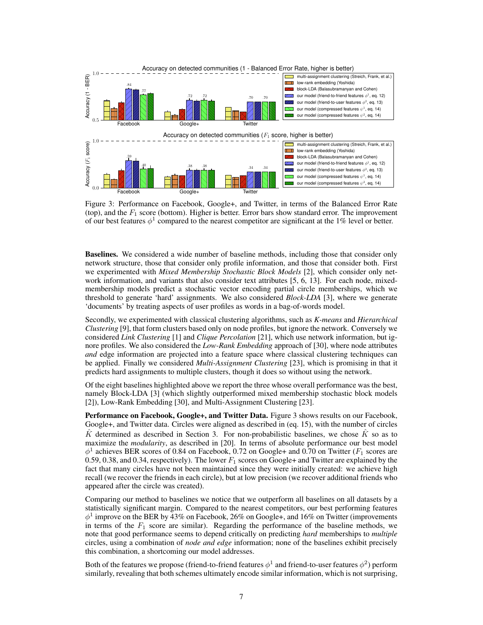

Figure 3: Performance on Facebook, Google+, and Twitter, in terms of the Balanced Error Rate (top), and the  $F_1$  score (bottom). Higher is better. Error bars show standard error. The improvement of our best features  $\phi^1$  compared to the nearest competitor are significant at the 1% level or better.

Baselines. We considered a wide number of baseline methods, including those that consider only network structure, those that consider only profile information, and those that consider both. First we experimented with *Mixed Membership Stochastic Block Models* [2], which consider only network information, and variants that also consider text attributes [5, 6, 13]. For each node, mixedmembership models predict a stochastic vector encoding partial circle memberships, which we threshold to generate 'hard' assignments. We also considered *Block-LDA* [3], where we generate 'documents' by treating aspects of user profiles as words in a bag-of-words model.

Secondly, we experimented with classical clustering algorithms, such as *K-means* and *Hierarchical Clustering* [9], that form clusters based only on node profiles, but ignore the network. Conversely we considered *Link Clustering* [1] and *Clique Percolation* [21], which use network information, but ignore profiles. We also considered the *Low-Rank Embedding* approach of [30], where node attributes *and* edge information are projected into a feature space where classical clustering techniques can be applied. Finally we considered *Multi-Assignment Clustering* [23], which is promising in that it predicts hard assignments to multiple clusters, though it does so without using the network.

Of the eight baselines highlighted above we report the three whose overall performance was the best, namely Block-LDA [3] (which slightly outperformed mixed membership stochastic block models [2]), Low-Rank Embedding [30], and Multi-Assignment Clustering [23].

Performance on Facebook, Google+, and Twitter Data. Figure 3 shows results on our Facebook, Google+, and Twitter data. Circles were aligned as described in (eq. 15), with the number of circles  $\hat{K}$  determined as described in Section 3. For non-probabilistic baselines, we chose  $\hat{K}$  so as to maximize the *modularity*, as described in [20]. In terms of absolute performance our best model  $\phi^1$  achieves BER scores of 0.84 on Facebook, 0.72 on Google+ and 0.70 on Twitter ( $F_1$  scores are 0.59, 0.38, and 0.34, respectively). The lower  $F_1$  scores on Google+ and Twitter are explained by the fact that many circles have not been maintained since they were initially created: we achieve high recall (we recover the friends in each circle), but at low precision (we recover additional friends who appeared after the circle was created).

Comparing our method to baselines we notice that we outperform all baselines on all datasets by a statistically significant margin. Compared to the nearest competitors, our best performing features  $\phi^1$  improve on the BER by 43% on Facebook, 26% on Google+, and 16% on Twitter (improvements in terms of the  $F_1$  score are similar). Regarding the performance of the baseline methods, we note that good performance seems to depend critically on predicting *hard* memberships to *multiple* circles, using a combination of *node and edge* information; none of the baselines exhibit precisely this combination, a shortcoming our model addresses.

Both of the features we propose (friend-to-friend features  $\phi^1$  and friend-to-user features  $\phi^2$ ) perform similarly, revealing that both schemes ultimately encode similar information, which is not surprising,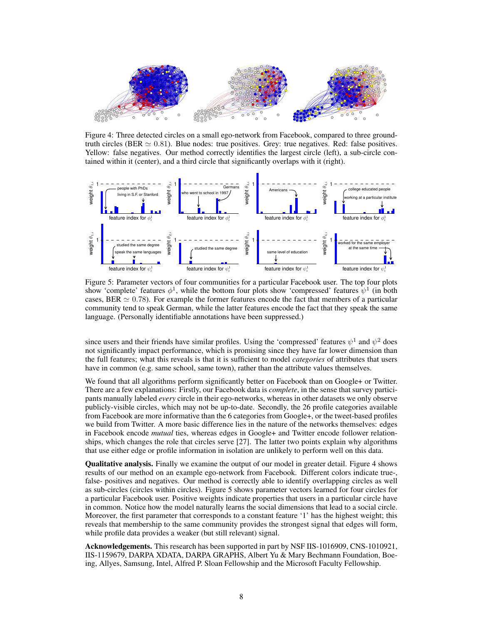

Figure 4: Three detected circles on a small ego-network from Facebook, compared to three groundtruth circles (BER  $\simeq 0.81$ ). Blue nodes: true positives. Grey: true negatives. Red: false positives. Yellow: false negatives. Our method correctly identifies the largest circle (left), a sub-circle contained within it (center), and a third circle that significantly overlaps with it (right).



Figure 5: Parameter vectors of four communities for a particular Facebook user. The top four plots show 'complete' features  $\phi^1$ , while the bottom four plots show 'compressed' features  $\psi^1$  (in both cases, BER  $\simeq 0.78$ ). For example the former features encode the fact that members of a particular community tend to speak German, while the latter features encode the fact that they speak the same language. (Personally identifiable annotations have been suppressed.)

since users and their friends have similar profiles. Using the 'compressed' features  $\psi^1$  and  $\psi^2$  does not significantly impact performance, which is promising since they have far lower dimension than the full features; what this reveals is that it is sufficient to model *categories* of attributes that users have in common (e.g. same school, same town), rather than the attribute values themselves.

We found that all algorithms perform significantly better on Facebook than on Google+ or Twitter. There are a few explanations: Firstly, our Facebook data is *complete*, in the sense that survey participants manually labeled *every* circle in their ego-networks, whereas in other datasets we only observe publicly-visible circles, which may not be up-to-date. Secondly, the 26 profile categories available from Facebook are more informative than the 6 categories from Google+, or the tweet-based profiles we build from Twitter. A more basic difference lies in the nature of the networks themselves: edges in Facebook encode *mutual* ties, whereas edges in Google+ and Twitter encode follower relationships, which changes the role that circles serve [27]. The latter two points explain why algorithms that use either edge or profile information in isolation are unlikely to perform well on this data.

Qualitative analysis. Finally we examine the output of our model in greater detail. Figure 4 shows results of our method on an example ego-network from Facebook. Different colors indicate true-, false- positives and negatives. Our method is correctly able to identify overlapping circles as well as sub-circles (circles within circles). Figure 5 shows parameter vectors learned for four circles for a particular Facebook user. Positive weights indicate properties that users in a particular circle have in common. Notice how the model naturally learns the social dimensions that lead to a social circle. Moreover, the first parameter that corresponds to a constant feature '1' has the highest weight; this reveals that membership to the same community provides the strongest signal that edges will form, while profile data provides a weaker (but still relevant) signal.

Acknowledgements. This research has been supported in part by NSF IIS-1016909, CNS-1010921, IIS-1159679, DARPA XDATA, DARPA GRAPHS, Albert Yu & Mary Bechmann Foundation, Boeing, Allyes, Samsung, Intel, Alfred P. Sloan Fellowship and the Microsoft Faculty Fellowship.